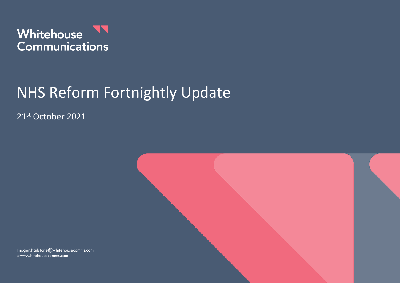

# NHS Reform Fortnightly Update

21st October 2021



Imogen.hailstone@whitehousecomms.com www.whitehousecomms.com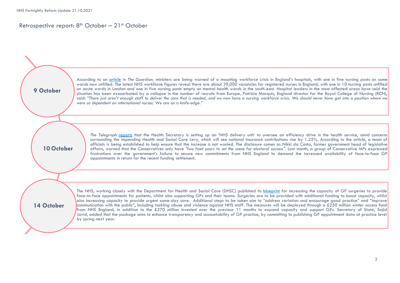#### Retrospective report:  $8<sup>th</sup>$  October – 21<sup>st</sup> October

According to an article in *The Guardian,* ministers are being warned of a mounting workforce crisis in England's hospitals, with one in five nursing posts on some wards now unfilled. The latest NHS workforce figures reveal there are about 39,000 vacancies for registered nurses in England, with one in 10 nursing posts unfilled on acute wards in London and one in five nursing posts empty on mental health wards in the south-east. Hospital leaders in the most affected areas have said the situation has been [exacerbated](https://www.theguardian.com/society/2021/oct/09/nursing-crisis-sweeps-wards-as-nhs-battles-to-find-recruits) by a collapse in the number of recruits from Europe. Patricia Marquis, England director for the Royal College of Nursing (RCN), said: "There just aren't enough staff to deliver the care that is needed, and we now have a nursing workforce crisis. We should never have got into a position where we *were so dependent on international nurses. We are on a knife-edge." The Telegraph* reports that the Health Secretary is setting up an 'NHS delivery unit' to oversee an efficiency drive in the health service, amid concerns surrounding the impending Health and Social Care Levy, which will see national insurance contributions rise by 1.25%. According to the article, a team of officials is being established to help ensure that the increase is not wasted. The disclosure comes as Nikki da Costa, former government head of legislative affairs, warned that the Conservatives only have "two final years to set the scene for electoral success". Last month, a group of Conservative MPs expressed frustrations over the government's failure to secure new commitments from NHS England to demand the increased availability of face-to-face GP appointments in return for the recent funding settlement. The NHS, working closely with the Department for Health and Social Care (DHSC) published its blueprint for increasing the capacity of GP surgeries to provide face-to-face appointments for patients, whilst also supporting GPs and their teams. Surgeries are to be provided with additional funding to boost capacity, whilst also increasing capacity to provide urgent same-day care. Additional steps to be taken aim to "address variation and encourage good practice" and "improve communication with the public", including tackling abuse and violence against NHS staff. The measures will be deployed through a £250 million winter access fund from NHS England, in addition to the £270 million invested over the previous 11 months to expand capacity and support GPs. Secretary of State, Sajid Javid, added that the package aims to enhance transparency and accountability of GP practice, by committing to publishing GP appointment data at practice level by spring next year. **9 October 10 October 14 October**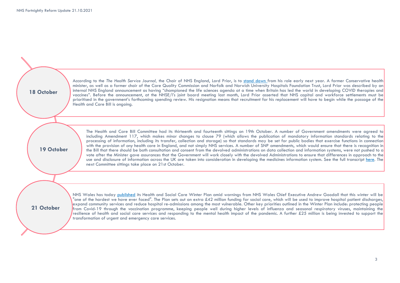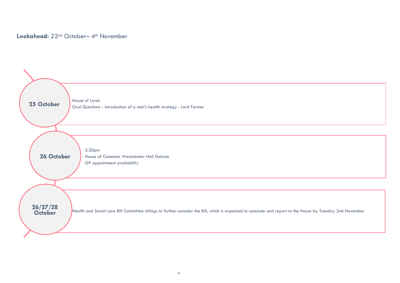### Lookahead: 22<sup>nd</sup> October- 4<sup>th</sup> November

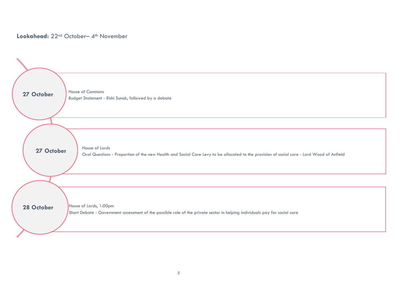## Lookahead: 22<sup>nd</sup> October- 4<sup>th</sup> November

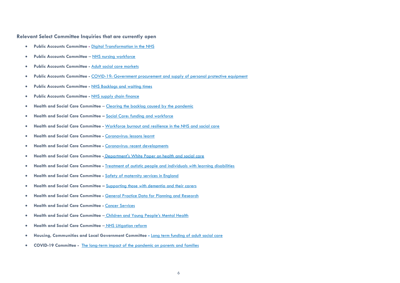**Relevant Select Committee Inquiries that are currently open**

- **Public Accounts Committee -** [Digital Transformation in the NHS](https://committees.parliament.uk/work/479/digital-transformation-in-the-nhs/)
- **Public Accounts Committee** [NHS nursing workforce](https://committees.parliament.uk/work/373/nhs-nursing-workforce/)
- **Public Accounts Committee -** [Adult social care markets](https://committees.parliament.uk/work/1135/adult-social-care-markets/)
- **Public Accounts Committee -** [COVID-19: Government procurement and supply of personal protective equipment](https://committees.parliament.uk/work/731/covid19-government-procurement-and-supply-of-personal-protective-equipment/)
- **Public Accounts Committee -** [NHS Backlogs and waiting times](https://committees.parliament.uk/work/1582/nhs-backlogs-and-waiting-times/)
- **Public Accounts Committee -** [NHS supply chain finance](https://committees.parliament.uk/work/1571/nhs-supply-chain-finance/)
- **Health and Social Care Committee**  [Clearing the backlog caused by the pandemic](https://committees.parliament.uk/work/1414/clearing-the-backlog-caused-by-the-pandemic/)
- **Health and Social Care Committee –** [Social Care: funding and workforce](https://committees.parliament.uk/work/136/social-care-funding-and-workforce/)
- **Health and Social Care Committee -** [Workforce burnout and resilience in the NHS and social care](https://committees.parliament.uk/work/494/workforce-burnout-and-resilience-in-the-nhs-and-social-care/)
- **Health and Social Care Committee -** [Coronavirus: lessons learnt](https://committees.parliament.uk/work/657/coronavirus-lessons-learnt/)
- **Health and Social Care Committee -** [Coronavirus: recent developments](https://committees.parliament.uk/work/930/coronavirus-recent-developments/)
- **Health and Social Care Committee -** [Department's White Paper on health and social care](https://committees.parliament.uk/work/1068/departments-white-paper-on-health-and-social-care/)
- **Health and Social Care Committee -** [Treatment of autistic people and individuals with learning disabilities](https://committees.parliament.uk/work/1026/treatment-of-autistic-people-and-individuals-with-learning-disabilities/)
- **Health and Social Care Committee -** [Safety of maternity services in England](https://committees.parliament.uk/work/472/safety-of-maternity-services-in-england/)
- **Health and Social Care Committee –** [Supporting those with dementia and their carers](https://committees.parliament.uk/work/1231/supporting-those-with-dementia-and-their-carers/)
- **Health and Social Care Committee -** [General Practice Data for Planning and Research](https://committees.parliament.uk/work/1407/general-practice-data-for-planning-and-research/)
- **Health and Social Care Committee -** [Cancer Services](https://committees.parliament.uk/work/1377/cancer-services/)
- **Health and Social Care Committee**  [Children and Young People's Mental Health](https://committees.parliament.uk/work/1001/children-and-young-peoples-mental-health/)
- **Health and Social Care Committee**  [NHS Litigation reform](https://committees.parliament.uk/work/1518/nhs-litigation-reform/)
- **Housing, Communities and Local Government Committee -** [Long term funding of adult social care](https://committees.parliament.uk/work/1080/long-term-funding-of-adult-social-care/)
- **COVID-19 Committee -** [The long-term impact of the pandemic on parents and families](https://committees.parliament.uk/work/1121/the-longterm-impact-of-the-pandemic-on-parents-and-families/)